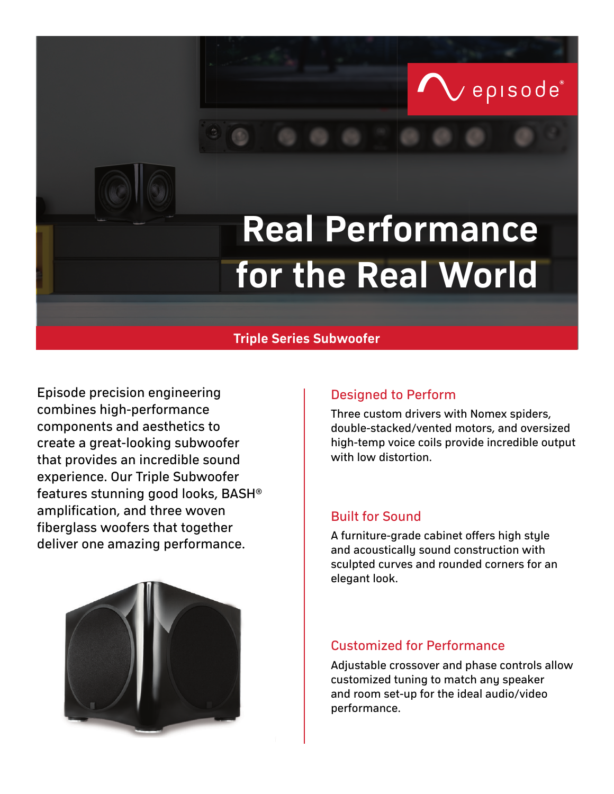# **Real Performance for the Real World**

## **Triple Series Subwoofer**

Episode precision engineering Theorem Construction Perform combines high-performance components and aesthetics to create a great-looking subwoofer that provides an incredible sound experience. Our Triple Subwoofer features stunning good looks, BASH® amplification, and three woven fiberglass woofers that together deliver one amazing performance.<br>A furniture-grade cabinet offers high style<br>and acquerically sound construction with

Three custom drivers with Nomex spiders, double-stacked/vented motors, and oversized high-temp voice coils provide incredible output with low distortion.

episode®

## Built for Sound

and acoustically sound construction with sculpted curves and rounded corners for an elegant look.

## Customized for Performance

Adjustable crossover and phase controls allow customized tuning to match any speaker and room set-up for the ideal audio/video performance.